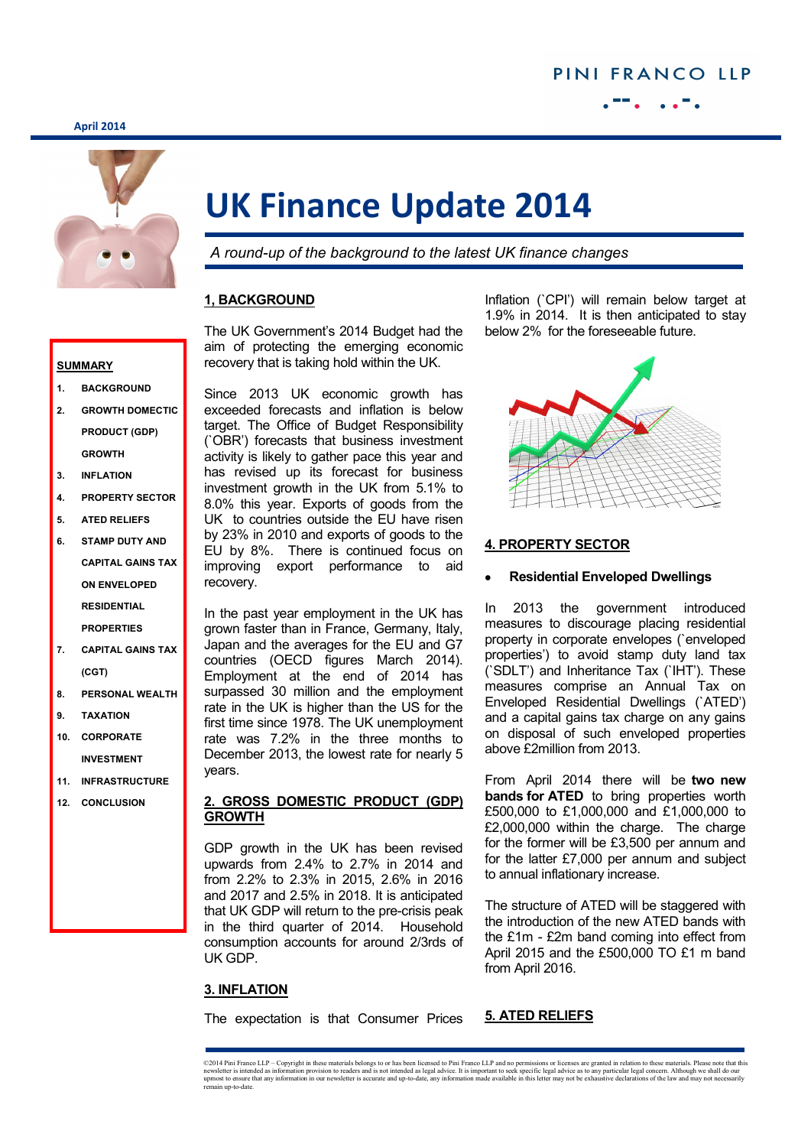#### **April 2014**



# **UK Finance Update 2014**

*A round-up of the background to the latest UK finance changes*

## **1, BACKGROUND**

The UK Government's 2014 Budget had the aim of protecting the emerging economic recovery that is taking hold within the UK.

Since 2013 UK economic growth has exceeded forecasts and inflation is below target. The Office of Budget Responsibility (`OBR') forecasts that business investment activity is likely to gather pace this year and has revised up its forecast for business investment growth in the UK from 5.1% to 8.0% this year. Exports of goods from the UK to countries outside the EU have risen by 23% in 2010 and exports of goods to the EU by 8%. There is continued focus on improving export performance to aid recovery.

In the past year employment in the UK has grown faster than in France, Germany, Italy, Japan and the averages for the EU and G7 countries (OECD figures March 2014). Employment at the end of 2014 has surpassed 30 million and the employment rate in the UK is higher than the US for the first time since 1978. The UK unemployment rate was 7.2% in the three months to December 2013, the lowest rate for nearly 5 years.

## **2. GROSS DOMESTIC PRODUCT (GDP) GROWTH**

GDP growth in the UK has been revised upwards from 2.4% to 2.7% in 2014 and from 2.2% to 2.3% in 2015, 2.6% in 2016 and 2017 and 2.5% in 2018. It is anticipated that UK GDP will return to the pre-crisis peak in the third quarter of 2014. Household consumption accounts for around 2/3rds of UK GDP.

## **3. INFLATION**

The expectation is that Consumer Prices

Inflation (`CPI') will remain below target at 1.9% in 2014. It is then anticipated to stay below 2% for the foreseeable future.



## **4. PROPERTY SECTOR**

#### **Residential Enveloped Dwellings**

In 2013 the government introduced measures to discourage placing residential property in corporate envelopes (`enveloped properties') to avoid stamp duty land tax (`SDLT') and Inheritance Tax (`IHT'). These measures comprise an Annual Tax on Enveloped Residential Dwellings (`ATED') and a capital gains tax charge on any gains on disposal of such enveloped properties above £2million from 2013.

From April 2014 there will be **two new bands for ATED** to bring properties worth £500,000 to £1,000,000 and £1,000,000 to £2,000,000 within the charge. The charge for the former will be £3,500 per annum and for the latter £7,000 per annum and subject to annual inflationary increase.

The structure of ATED will be staggered with the introduction of the new ATED bands with the £1m - £2m band coming into effect from April 2015 and the £500,000 TO £1 m band from April 2016.

## **5. ATED RELIEFS**

#### **SUMMARY**

- **1. BACKGROUND**
- **2. GROWTH DOMECTIC PRODUCT (GDP) GROWTH**
- **3. INFLATION**
- **4. PROPERTY SECTOR**
- **5. ATED RELIEFS**
- **6. STAMP DUTY AND CAPITAL GAINS TAX ON ENVELOPED RESIDENTIAL PROPERTIES**
- **7. CAPITAL GAINS TAX (CGT)**
- **8. PERSONAL WEALTH**
- **9. TAXATION**
- **10. CORPORATE INVESTMENT**
- **11. INFRASTRUCTURE**
- **12. CONCLUSION**

<sup>©2014</sup> Pini Franco LLP - Copyright in these materials belongs to or has been licensed to Pini Franco LLP and no permissions or licenses are granted in relation to these materials. Please note that this newsletter is intended as information provision to readers and is not intended as legal advice. It is important to seek specific legal advice as to any particular legal concern. Although we shall do our<br>upmost to ensure th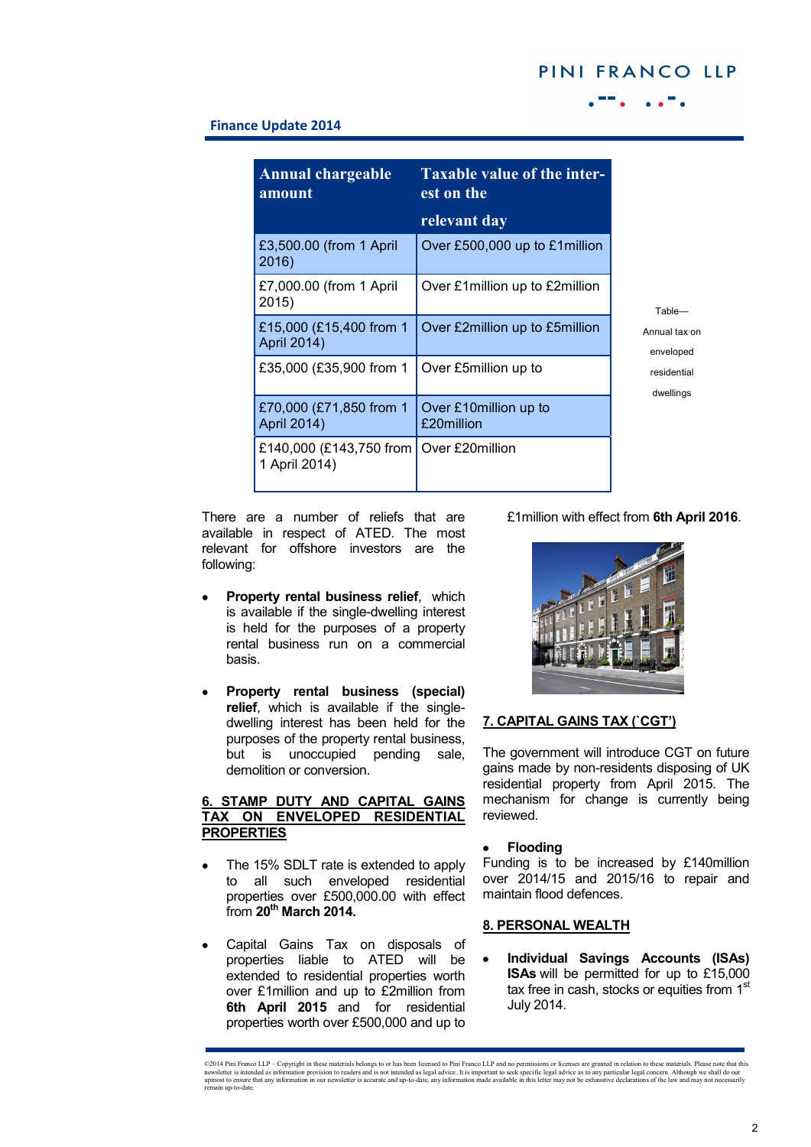# PINI FRANCO LLP

## **Finance Update 2014**

| <b>Annual chargeable</b><br>amount       | Taxable value of the inter-<br>est on the |
|------------------------------------------|-------------------------------------------|
|                                          | relevant day                              |
| £3,500.00 (from 1 April<br>2016)         | Over £500,000 up to £1 million            |
| £7,000.00 (from 1 April<br>2015)         | Over £1 million up to £2 million          |
| £15,000 (£15,400 from 1<br>April 2014)   | Over £2million up to £5million            |
| £35,000 (£35,900 from 1                  | Over £5million up to                      |
| £70,000 (£71,850 from 1<br>April 2014)   | Over £10 million up to<br>£20million      |
| £140,000 (£143,750 from<br>1 April 2014) | Over £20million                           |

There are a number of reliefs that are available in respect of ATED. The most relevant for offshore investors are the following:

- **Property rental business relief**, which is available if the single-dwelling interest is held for the purposes of a property rental business run on a commercial basis.
- **Property rental business (special) relief**, which is available if the singledwelling interest has been held for the purposes of the property rental business, but is unoccupied pending sale, demolition or conversion.

## **6. STAMP DUTY AND CAPITAL GAINS TAX ON ENVELOPED RESIDENTIAL PROPERTIES**

- The 15% SDLT rate is extended to apply ٠ to all such enveloped residential properties over £500,000.00 with effect from **20th March 2014.**
- Capital Gains Tax on disposals of properties liable to ATED will be extended to residential properties worth over £1million and up to £2million from **6th April 2015** and for residential properties worth over £500,000 and up to

£1million with effect from **6th April 2016**.



#### **7. CAPITAL GAINS TAX (`CGT')**

The government will introduce CGT on future gains made by non-residents disposing of UK residential property from April 2015. The mechanism for change is currently being reviewed.

#### **Flooding**

Funding is to be increased by £140million over 2014/15 and 2015/16 to repair and maintain flood defences.

#### **8. PERSONAL WEALTH**

**Individual Savings Accounts (ISAs) ISAs** will be permitted for up to £15,000 tax free in cash, stocks or equities from 1<sup>st</sup> July 2014.

<sup>©2014</sup> Pini Franco LLP – Copyright in these materials belongs to or has been licensed to Pini Franco LLP and no permissions or licenses are granted in relation to these materials. Please note that this newsletter is intended as information provision to readers and is not intended as legal advice. It is important to seek specific legal advice as to any particular legal concern. Although we shall do our<br>upmost to ensure th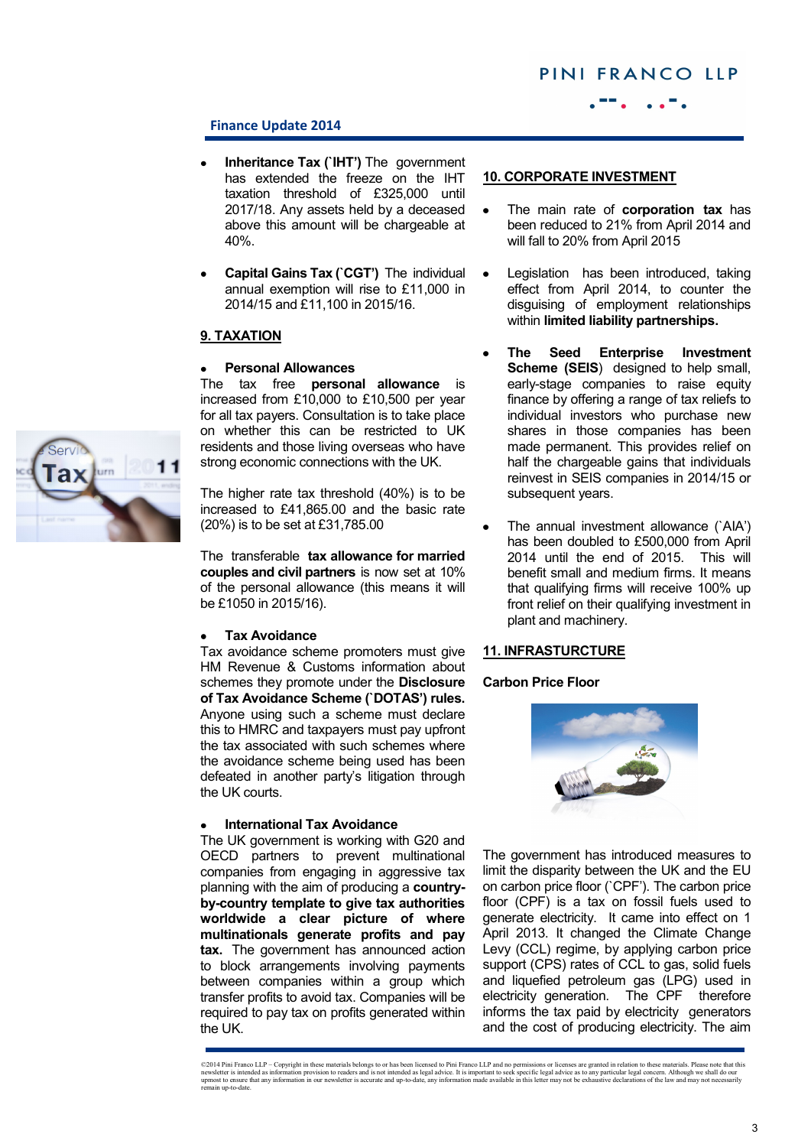

## **Finance Update 2014**

- **Inheritance Tax (`IHT')** The government has extended the freeze on the IHT taxation threshold of £325,000 until 2017/18. Any assets held by a deceased above this amount will be chargeable at 40%.
- **Capital Gains Tax (`CGT')** The individual annual exemption will rise to £11,000 in 2014/15 and £11,100 in 2015/16.

## **9. TAXATION**

## **Personal Allowances**

The tax free **personal allowance** is increased from £10,000 to £10,500 per year for all tax payers. Consultation is to take place on whether this can be restricted to UK residents and those living overseas who have strong economic connections with the UK.

The higher rate tax threshold (40%) is to be increased to £41,865.00 and the basic rate (20%) is to be set at £31,785.00

The transferable **tax allowance for married couples and civil partners** is now set at 10% of the personal allowance (this means it will be £1050 in 2015/16).

#### **Tax Avoidance**

Tax avoidance scheme promoters must give HM Revenue & Customs information about schemes they promote under the **Disclosure of Tax Avoidance Scheme (`DOTAS') rules.**  Anyone using such a scheme must declare this to HMRC and taxpayers must pay upfront the tax associated with such schemes where the avoidance scheme being used has been defeated in another party's litigation through the UK courts.

#### **International Tax Avoidance**

The UK government is working with G20 and OECD partners to prevent multinational companies from engaging in aggressive tax planning with the aim of producing a **countryby-country template to give tax authorities worldwide a clear picture of where multinationals generate profits and pay tax.** The government has announced action to block arrangements involving payments between companies within a group which transfer profits to avoid tax. Companies will be required to pay tax on profits generated within the UK.

## **10. CORPORATE INVESTMENT**

- The main rate of **corporation tax** has been reduced to 21% from April 2014 and will fall to 20% from April 2015
- Legislation has been introduced, taking effect from April 2014, to counter the disguising of employment relationships within **limited liability partnerships.**
- **The Seed Enterprise Investment Scheme (SEIS)** designed to help small, early-stage companies to raise equity finance by offering a range of tax reliefs to individual investors who purchase new shares in those companies has been made permanent. This provides relief on half the chargeable gains that individuals reinvest in SEIS companies in 2014/15 or subsequent years.
- The annual investment allowance (`AIA') has been doubled to £500,000 from April 2014 until the end of 2015. This will benefit small and medium firms. It means that qualifying firms will receive 100% up front relief on their qualifying investment in plant and machinery.

## **11. INFRASTURCTURE**

#### **Carbon Price Floor**



The government has introduced measures to limit the disparity between the UK and the EU on carbon price floor (`CPF'). The carbon price floor (CPF) is a tax on fossil fuels used to generate electricity. It came into effect on 1 April 2013. It changed the Climate Change Levy (CCL) regime, by applying carbon price support (CPS) rates of CCL to gas, solid fuels and liquefied petroleum gas (LPG) used in electricity generation. The CPF therefore informs the tax paid by electricity generators and the cost of producing electricity. The aim



<sup>©2014</sup> Pini Franco LLP – Copyright in these materials belongs to or has been licensed to Pini Franco LLP and no permissions or licenses are granted in relation to these materials. Please note that this rewsletter is incorde